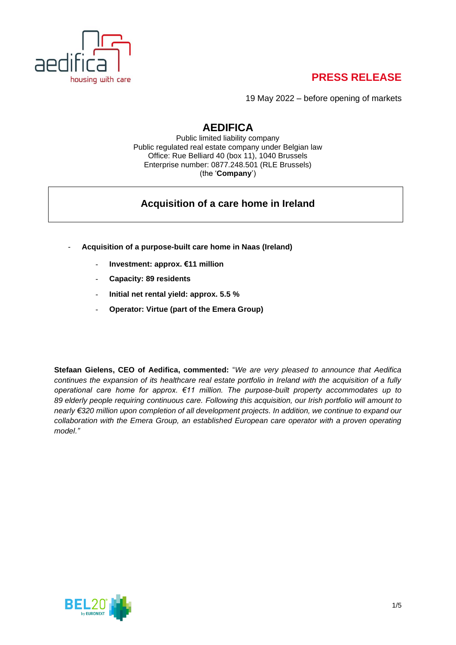

19 May 2022 – before opening of markets

### **AEDIFICA**

Public limited liability company Public regulated real estate company under Belgian law Office: Rue Belliard 40 (box 11), 1040 Brussels Enterprise number: 0877.248.501 (RLE Brussels) (the '**Company**')

### **Acquisition of a care home in Ireland**

- **Acquisition of a purpose-built care home in Naas (Ireland)**
	- **Investment: approx. €11 million**
	- **Capacity: 89 residents**
	- **Initial net rental yield: approx. 5.5 %**
	- **Operator: Virtue (part of the Emera Group)**

**Stefaan Gielens, CEO of Aedifica, commented:** "*We are very pleased to announce that Aedifica continues the expansion of its healthcare real estate portfolio in Ireland with the acquisition of a fully operational care home for approx. €11 million. The purpose-built property accommodates up to 89 elderly people requiring continuous care. Following this acquisition, our Irish portfolio will amount to nearly €320 million upon completion of all development projects. In addition, we continue to expand our collaboration with the Emera Group, an established European care operator with a proven operating model."*

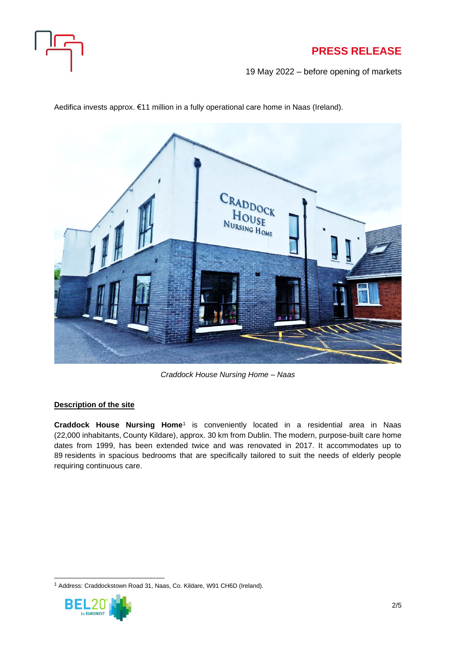

19 May 2022 – before opening of markets

CRADDOCK HOUSE NURSING HOME

Aedifica invests approx. €11 million in a fully operational care home in Naas (Ireland).

*Craddock House Nursing Home – Naas*

#### **Description of the site**

**Craddock House Nursing Home**<sup>1</sup> is conveniently located in a residential area in Naas (22,000 inhabitants, County Kildare), approx. 30 km from Dublin. The modern, purpose-built care home dates from 1999, has been extended twice and was renovated in 2017. It accommodates up to 89 residents in spacious bedrooms that are specifically tailored to suit the needs of elderly people requiring continuous care.

<sup>1</sup> Address: Craddockstown Road 31, Naas, Co. Kildare, W91 CH6D (Ireland).

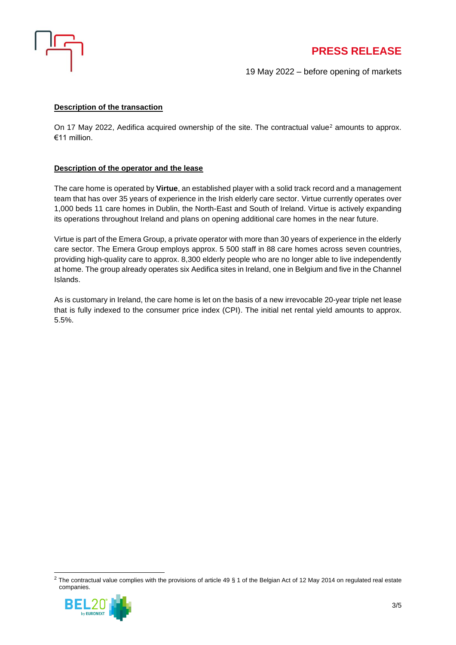

19 May 2022 – before opening of markets

#### **Description of the transaction**

On 17 May 2022, Aedifica acquired ownership of the site. The contractual value<sup>2</sup> amounts to approx. €11 million.

#### **Description of the operator and the lease**

The care home is operated by **Virtue**, an established player with a solid track record and a management team that has over 35 years of experience in the Irish elderly care sector. Virtue currently operates over 1,000 beds 11 care homes in Dublin, the North-East and South of Ireland. Virtue is actively expanding its operations throughout Ireland and plans on opening additional care homes in the near future.

Virtue is part of the Emera Group, a private operator with more than 30 years of experience in the elderly care sector. The Emera Group employs approx. 5 500 staff in 88 care homes across seven countries, providing high-quality care to approx. 8,300 elderly people who are no longer able to live independently at home. The group already operates six Aedifica sites in Ireland, one in Belgium and five in the Channel Islands.

As is customary in Ireland, the care home is let on the basis of a new irrevocable 20-year triple net lease that is fully indexed to the consumer price index (CPI). The initial net rental yield amounts to approx. 5.5%.

<sup>&</sup>lt;sup>2</sup> The contractual value complies with the provisions of article 49 § 1 of the Belgian Act of 12 May 2014 on regulated real estate companies.

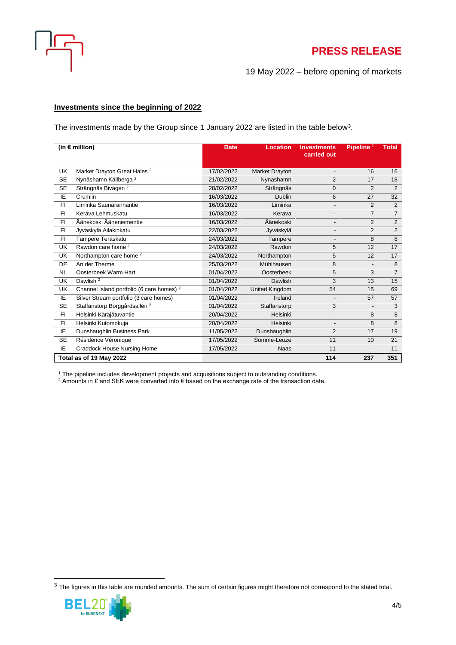

19 May 2022 – before opening of markets

#### **Investments since the beginning of 2022**

The investments made by the Group since 1 January 2022 are listed in the table below<sup>3</sup>.

| (in $\notin$ million)   |                                                      | <b>Date</b> | <b>Location</b> | <b>Investments</b><br>carried out | Pipeline <sup>1</sup>    | <b>Total</b>   |
|-------------------------|------------------------------------------------------|-------------|-----------------|-----------------------------------|--------------------------|----------------|
| UK                      | Market Drayton Great Hales <sup>2</sup>              | 17/02/2022  | Market Drayton  | $\overline{\phantom{a}}$          | 16                       | 16             |
| <b>SE</b>               | Nynäshamn Källberga <sup>2</sup>                     | 21/02/2022  | Nynäshamn       | $\overline{2}$                    | 17                       | 18             |
| <b>SE</b>               | Strängnäs Bivägen <sup>2</sup>                       | 28/02/2022  | Strängnäs       | $\mathbf 0$                       | $\overline{2}$           | 2              |
| IE                      | Crumlin                                              | 16/03/2022  | <b>Dublin</b>   | 6                                 | 27                       | 32             |
| FI                      | Liminka Saunarannantie                               | 16/03/2022  | Liminka         | $\overline{\phantom{a}}$          | 2                        | $\overline{2}$ |
| FI.                     | Kerava Lehmuskatu                                    | 16/03/2022  | Kerava          | $\overline{\phantom{a}}$          | $\overline{7}$           | $\overline{7}$ |
| FI.                     | Äänekoski Ääneniementie                              | 16/03/2022  | Äänekoski       | $\overline{\phantom{0}}$          | 2                        | $\overline{2}$ |
| F1                      | Jyväskylä Ailakinkatu                                | 22/03/2022  | Jyväskylä       | $\overline{\phantom{a}}$          | $\overline{2}$           | $\overline{2}$ |
| F1                      | Tampere Teräskatu                                    | 24/03/2022  | Tampere         | $\overline{\phantom{a}}$          | 8                        | 8              |
| <b>UK</b>               | Rawdon care home <sup>2</sup>                        | 24/03/2022  | Rawdon          | 5                                 | 12                       | 17             |
| UK                      | Northampton care home <sup>2</sup>                   | 24/03/2022  | Northampton     | 5                                 | 12                       | 17             |
| DE                      | An der Therme                                        | 25/03/2022  | Mühlhausen      | 8                                 | $\overline{\phantom{a}}$ | 8              |
| <b>NL</b>               | Oosterbeek Warm Hart                                 | 01/04/2022  | Oosterbeek      | 5                                 | 3                        | $\overline{7}$ |
| <b>UK</b>               | Dawlish <sup>2</sup>                                 | 01/04/2022  | Dawlish         | 3                                 | 13                       | 15             |
| <b>UK</b>               | Channel Island portfolio (6 care homes) <sup>2</sup> | 01/04/2022  | United Kingdom  | 54                                | 15                       | 69             |
| IE                      | Silver Stream portfolio (3 care homes)               | 01/04/2022  | Ireland         | $\overline{\phantom{a}}$          | 57                       | 57             |
| <b>SE</b>               | Staffanstorp Borggårdsallén <sup>2</sup>             | 01/04/2022  | Staffanstorp    | 3                                 | $\overline{\phantom{a}}$ | 3              |
| FI.                     | Helsinki Käräjätuvantie                              | 20/04/2022  | Helsinki        | $\qquad \qquad \blacksquare$      | 8                        | 8              |
| FI                      | Helsinki Kutomokuja                                  | 20/04/2022  | Helsinki        | $\overline{\phantom{0}}$          | 8                        | 8              |
| IE                      | Dunshaughlin Business Park                           | 11/05/2022  | Dunshaughlin    | $\overline{2}$                    | 17                       | 19             |
| <b>BE</b>               | Résidence Véronique                                  | 17/05/2022  | Somme-Leuze     | 11                                | 10                       | 21             |
| IE                      | Craddock House Nursing Home                          | 17/05/2022  | <b>Naas</b>     | 11                                | $\overline{a}$           | 11             |
| Total as of 19 May 2022 |                                                      |             |                 | 114                               | 237                      | 351            |

<sup>1</sup> The pipeline includes development projects and acquisitions subject to outstanding conditions.

 $^2$  Amounts in £ and SEK were converted into € based on the exchange rate of the transaction date.

 $3$  The figures in this table are rounded amounts. The sum of certain figures might therefore not correspond to the stated total.